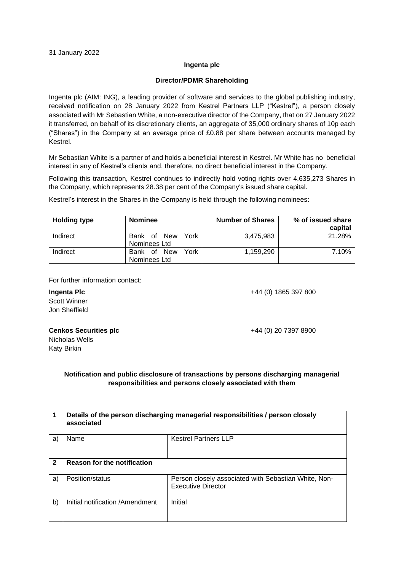## **Ingenta plc**

## **Director/PDMR Shareholding**

Ingenta plc (AIM: ING), a leading provider of software and services to the global publishing industry, received notification on 28 January 2022 from Kestrel Partners LLP ("Kestrel"), a person closely associated with Mr Sebastian White, a non-executive director of the Company, that on 27 January 2022 it transferred, on behalf of its discretionary clients, an aggregate of 35,000 ordinary shares of 10p each ("Shares") in the Company at an average price of £0.88 per share between accounts managed by Kestrel.

Mr Sebastian White is a partner of and holds a beneficial interest in Kestrel. Mr White has no beneficial interest in any of Kestrel's clients and, therefore, no direct beneficial interest in the Company.

Following this transaction, Kestrel continues to indirectly hold voting rights over 4,635,273 Shares in the Company, which represents 28.38 per cent of the Company's issued share capital.

Kestrel's interest in the Shares in the Company is held through the following nominees:

| <b>Holding type</b> | <b>Nominee</b>                                   | <b>Number of Shares</b> | % of issued share<br>capital |
|---------------------|--------------------------------------------------|-------------------------|------------------------------|
| Indirect            | York<br>Bank<br><b>New</b><br>οf<br>Nominees Ltd | 3.475.983               | 21.28%                       |
| Indirect            | York<br><b>New</b><br>Bank<br>οf<br>Nominees Ltd | 1,159,290               | 7.10%                        |

For further information contact:

+44 (0) 1865 397 800

**Ingenta Plc** Scott Winner Jon Sheffield

## **Cenkos Securities plc**

Nicholas Wells Katy Birkin

+44 (0) 20 7397 8900

## **Notification and public disclosure of transactions by persons discharging managerial responsibilities and persons closely associated with them**

| 1            | Details of the person discharging managerial responsibilities / person closely<br>associated |                                                                                   |  |  |
|--------------|----------------------------------------------------------------------------------------------|-----------------------------------------------------------------------------------|--|--|
| a)           | Name                                                                                         | <b>Kestrel Partners LLP</b>                                                       |  |  |
| $\mathbf{2}$ | <b>Reason for the notification</b>                                                           |                                                                                   |  |  |
| a)           | Position/status                                                                              | Person closely associated with Sebastian White, Non-<br><b>Executive Director</b> |  |  |
| b)           | Initial notification /Amendment                                                              | Initial                                                                           |  |  |